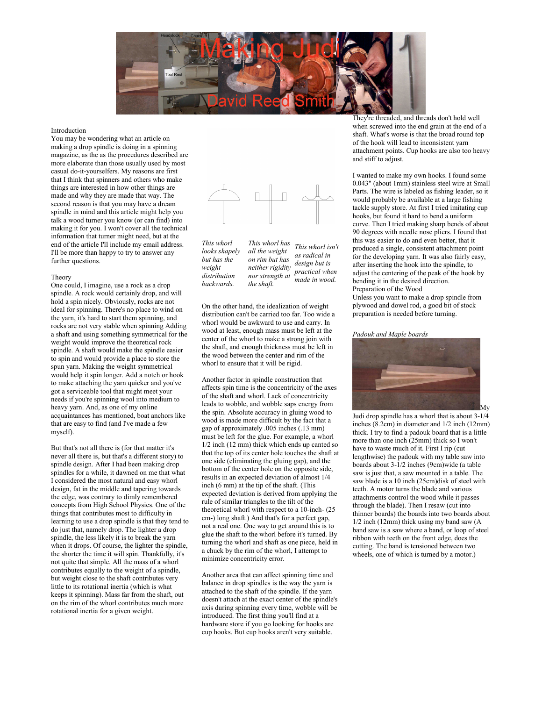

## Introduction

You may be wondering what an article on making a drop spindle is doing in a spinning magazine, as the as the procedures described are more elaborate than those usually used by most casual do-it-yourselfers. My reasons are first that I think that spinners and others who make things are interested in how other things are made and why they are made that way. The second reason is that you may have a dream spindle in mind and this article might help you talk a wood turner you know (or can find) into making it for you. I won't cover all the technical information that turner might need, but at the end of the article I'll include my email address. I'll be more than happy to try to answer any further questions.

### Theory

One could, I imagine, use a rock as a drop spindle. A rock would certainly drop, and will hold a spin nicely. Obviously, rocks are not ideal for spinning. There's no place to wind on the yarn, it's hard to start them spinning, and rocks are not very stable when spinning Adding a shaft and using something symmetrical for the weight would improve the theoretical rock spindle. A shaft would make the spindle easier to spin and would provide a place to store the spun yarn. Making the weight symmetrical would help it spin longer. Add a notch or hook to make attaching the yarn quicker and you've got a serviceable tool that might meet your needs if you're spinning wool into medium to heavy yarn. And, as one of my online acquaintances has mentioned, boat anchors like that are easy to find (and I've made a few myself).

But that's not all there is (for that matter it's never all there is, but that's a different story) to spindle design. After I had been making drop spindles for a while, it dawned on me that what I considered the most natural and easy whorl design, fat in the middle and tapering towards the edge, was contrary to dimly remembered concepts from High School Physics. One of the things that contributes most to difficulty in learning to use a drop spindle is that they tend to do just that, namely drop. The lighter a drop spindle, the less likely it is to break the yarn when it drops. Of course, the lighter the spindle, the shorter the time it will spin. Thankfully, it's not quite that simple. All the mass of a whorl contributes equally to the weight of a spindle, but weight close to the shaft contributes very little to its rotational inertia (which is what keeps it spinning). Mass far from the shaft, out on the rim of the whorl contributes much more rotational inertia for a given weight.



*This whorl looks shapely but has the weight distribution backwards.*

*This whorl has all the weight on rim but has neither rigidity nor strength at practical when the shaft. This whorl isn't as radical in design but is made in wood.*

On the other hand, the idealization of weight distribution can't be carried too far. Too wide a whorl would be awkward to use and carry. In wood at least, enough mass must be left at the center of the whorl to make a strong join with the shaft, and enough thickness must be left in the wood between the center and rim of the whorl to ensure that it will be rigid.

Another factor in spindle construction that affects spin time is the concentricity of the axes of the shaft and whorl. Lack of concentricity leads to wobble, and wobble saps energy from the spin. Absolute accuracy in gluing wood to wood is made more difficult by the fact that a gap of approximately .005 inches (.13 mm) must be left for the glue. For example, a whorl 1/2 inch (12 mm) thick which ends up canted so that the top of its center hole touches the shaft at one side (eliminating the gluing gap), and the bottom of the center hole on the opposite side, results in an expected deviation of almost 1/4 inch (6 mm) at the tip of the shaft. (This expected deviation is derived from applying the rule of similar triangles to the tilt of the theoretical whorl with respect to a 10-inch- (25 cm-) long shaft.) And that's for a perfect gap, not a real one. One way to get around this is to glue the shaft to the whorl before it's turned. By turning the whorl and shaft as one piece, held in a chuck by the rim of the whorl, I attempt to minimize concentricity error.

Another area that can affect spinning time and balance in drop spindles is the way the yarn is attached to the shaft of the spindle. If the yarn doesn't attach at the exact center of the spindle's axis during spinning every time, wobble will be introduced. The first thing you'll find at a hardware store if you go looking for hooks are cup hooks. But cup hooks aren't very suitable.

They're threaded, and threads don't hold well when screwed into the end grain at the end of a shaft. What's worse is that the broad round top of the hook will lead to inconsistent yarn attachment points. Cup hooks are also too heavy and stiff to adjust.

I wanted to make my own hooks. I found some 0.043" (about 1mm) stainless steel wire at Small Parts. The wire is labeled as fishing leader, so it would probably be available at a large fishing tackle supply store. At first I tried imitating cup hooks, but found it hard to bend a uniform curve. Then I tried making sharp bends of about 90 degrees with needle nose pliers. I found that this was easier to do and even better, that it produced a single, consistent attachment point for the developing yarn. It was also fairly easy, after inserting the hook into the spindle, to adjust the centering of the peak of the hook by bending it in the desired direction. Preparation of the Wood

Unless you want to make a drop spindle from plywood and dowel rod, a good bit of stock preparation is needed before turning.

### *Padouk and Maple boards*



Judi drop spindle has a whorl that is about 3-1/4 inches (8.2cm) in diameter and 1/2 inch (12mm) thick. I try to find a padouk board that is a little more than one inch (25mm) thick so I won't have to waste much of it. First I rip (cut lengthwise) the padouk with my table saw into boards about 3-1/2 inches (9cm)wide (a table saw is just that, a saw mounted in a table. The saw blade is a 10 inch (25cm)disk of steel with teeth. A motor turns the blade and various attachments control the wood while it passes through the blade). Then I resaw (cut into thinner boards) the boards into two boards about 1/2 inch (12mm) thick using my band saw (A band saw is a saw where a band, or loop of steel ribbon with teeth on the front edge, does the cutting. The band is tensioned between two wheels, one of which is turned by a motor.)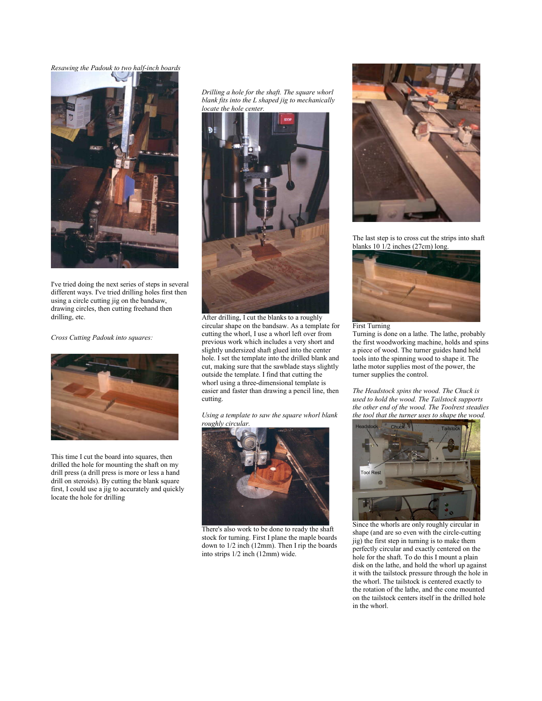*Resawing the Padouk to two half-inch boards*



I've tried doing the next series of steps in several different ways. I've tried drilling holes first then using a circle cutting jig on the bandsaw, drawing circles, then cutting freehand then drilling, etc.

*Cross Cutting Padouk into squares:*



This time I cut the board into squares, then drilled the hole for mounting the shaft on my drill press (a drill press is more or less a hand drill on steroids). By cutting the blank square first, I could use a jig to accurately and quickly locate the hole for drilling

*Drilling a hole for the shaft. The square whorl blank fits into the L shaped jig to mechanically locate the hole center.*



After drilling, I cut the blanks to a roughly circular shape on the bandsaw. As a template for cutting the whorl, I use a whorl left over from previous work which includes a very short and slightly undersized shaft glued into the center hole. I set the template into the drilled blank and cut, making sure that the sawblade stays slightly outside the template. I find that cutting the whorl using a three-dimensional template is easier and faster than drawing a pencil line, then cutting.

*Using a template to saw the square whorl blank roughly circular.*



There's also work to be done to ready the shaft stock for turning. First I plane the maple boards down to 1/2 inch (12mm). Then I rip the boards into strips 1/2 inch (12mm) wide.



The last step is to cross cut the strips into shaft blanks 10 1/2 inches (27cm) long.



First Turning

Turning is done on a lathe. The lathe, probably the first woodworking machine, holds and spins a piece of wood. The turner guides hand held tools into the spinning wood to shape it. The lathe motor supplies most of the power, the turner supplies the control.

*The Headstock spins the wood. The Chuck is used to hold the wood. The Tailstock supports the other end of the wood. The Toolrest steadies the tool that the turner uses to shape the wood.*



Since the whorls are only roughly circular in shape (and are so even with the circle-cutting jig) the first step in turning is to make them perfectly circular and exactly centered on the hole for the shaft. To do this I mount a plain disk on the lathe, and hold the whorl up against it with the tailstock pressure through the hole in the whorl. The tailstock is centered exactly to the rotation of the lathe, and the cone mounted on the tailstock centers itself in the drilled hole in the whorl.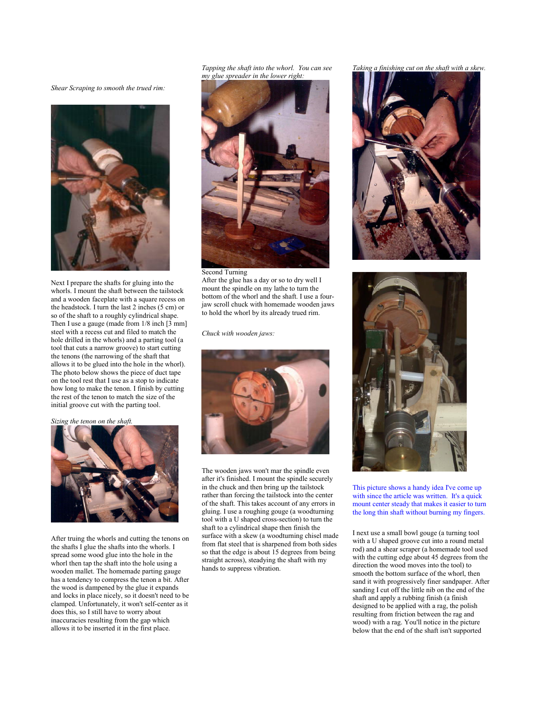*Shear Scraping to smooth the trued rim:*



Next I prepare the shafts for gluing into the whorls. I mount the shaft between the tailstock and a wooden faceplate with a square recess on the headstock. I turn the last 2 inches (5 cm) or so of the shaft to a roughly cylindrical shape. Then I use a gauge (made from 1/8 inch [3 mm] steel with a recess cut and filed to match the hole drilled in the whorls) and a parting tool (a tool that cuts a narrow groove) to start cutting the tenons (the narrowing of the shaft that allows it to be glued into the hole in the whorl). The photo below shows the piece of duct tape on the tool rest that I use as a stop to indicate how long to make the tenon. I finish by cutting the rest of the tenon to match the size of the initial groove cut with the parting tool.

### *Sizing the tenon on the shaft.*



After truing the whorls and cutting the tenons on the shafts I glue the shafts into the whorls. I spread some wood glue into the hole in the whorl then tap the shaft into the hole using a wooden mallet. The homemade parting gauge has a tendency to compress the tenon a bit. After the wood is dampened by the glue it expands and locks in place nicely, so it doesn't need to be clamped. Unfortunately, it won't self-center as it does this, so I still have to worry about inaccuracies resulting from the gap which allows it to be inserted it in the first place.

*Tapping the shaft into the whorl. You can see my glue spreader in the lower right:*



Second Turning After the glue has a day or so to dry well I mount the spindle on my lathe to turn the bottom of the whorl and the shaft. I use a fourjaw scroll chuck with homemade wooden jaws to hold the whorl by its already trued rim.

*Chuck with wooden jaws:*



The wooden jaws won't mar the spindle even after it's finished. I mount the spindle securely in the chuck and then bring up the tailstock rather than forcing the tailstock into the center of the shaft. This takes account of any errors in gluing. I use a roughing gouge (a woodturning tool with a U shaped cross-section) to turn the shaft to a cylindrical shape then finish the surface with a skew (a woodturning chisel made from flat steel that is sharpened from both sides so that the edge is about 15 degrees from being straight across), steadying the shaft with my hands to suppress vibration.

*Taking a finishing cut on the shaft with a skew.*





This picture shows a handy idea I've come up with since the article was written. It's a quick mount center steady that makes it easier to turn the long thin shaft without burning my fingers.

I next use a small bowl gouge (a turning tool with a U shaped groove cut into a round metal rod) and a shear scraper (a homemade tool used with the cutting edge about 45 degrees from the direction the wood moves into the tool) to smooth the bottom surface of the whorl, then sand it with progressively finer sandpaper. After sanding I cut off the little nib on the end of the shaft and apply a rubbing finish (a finish designed to be applied with a rag, the polish resulting from friction between the rag and wood) with a rag. You'll notice in the picture below that the end of the shaft isn't supported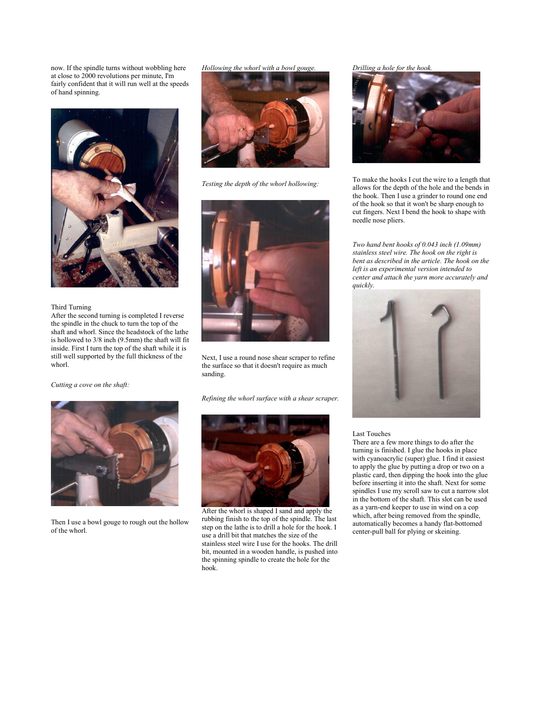now. If the spindle turns without wobbling here at close to 2000 revolutions per minute, I'm fairly confident that it will run well at the speeds of hand spinning.



## Third Turning

After the second turning is completed I reverse the spindle in the chuck to turn the top of the shaft and whorl. Since the headstock of the lathe is hollowed to 3/8 inch (9.5mm) the shaft will fit inside. First I turn the top of the shaft while it is still well supported by the full thickness of the whorl.

*Cutting a cove on the shaft:*



Then I use a bowl gouge to rough out the hollow of the whorl.

*Hollowing the whorl with a bowl gouge.*



*Testing the depth of the whorl hollowing:*



Next, I use a round nose shear scraper to refine the surface so that it doesn't require as much sanding.

*Refining the whorl surface with a shear scraper.*



After the whorl is shaped I sand and apply the rubbing finish to the top of the spindle. The last step on the lathe is to drill a hole for the hook. I use a drill bit that matches the size of the stainless steel wire I use for the hooks. The drill bit, mounted in a wooden handle, is pushed into the spinning spindle to create the hole for the hook.

## *Drilling a hole for the hook.*



To make the hooks I cut the wire to a length that allows for the depth of the hole and the bends in the hook. Then I use a grinder to round one end of the hook so that it won't be sharp enough to cut fingers. Next I bend the hook to shape with needle nose pliers.

*Two hand bent hooks of 0.043 inch (1.09mm) stainless steel wire. The hook on the right is bent as described in the article. The hook on the left is an experimental version intended to center and attach the yarn more accurately and quickly.*



## Last Touches

There are a few more things to do after the turning is finished. I glue the hooks in place with cyanoacrylic (super) glue. I find it easiest to apply the glue by putting a drop or two on a plastic card, then dipping the hook into the glue before inserting it into the shaft. Next for some spindles I use my scroll saw to cut a narrow slot in the bottom of the shaft. This slot can be used as a yarn-end keeper to use in wind on a cop which, after being removed from the spindle, automatically becomes a handy flat-bottomed center-pull ball for plying or skeining.